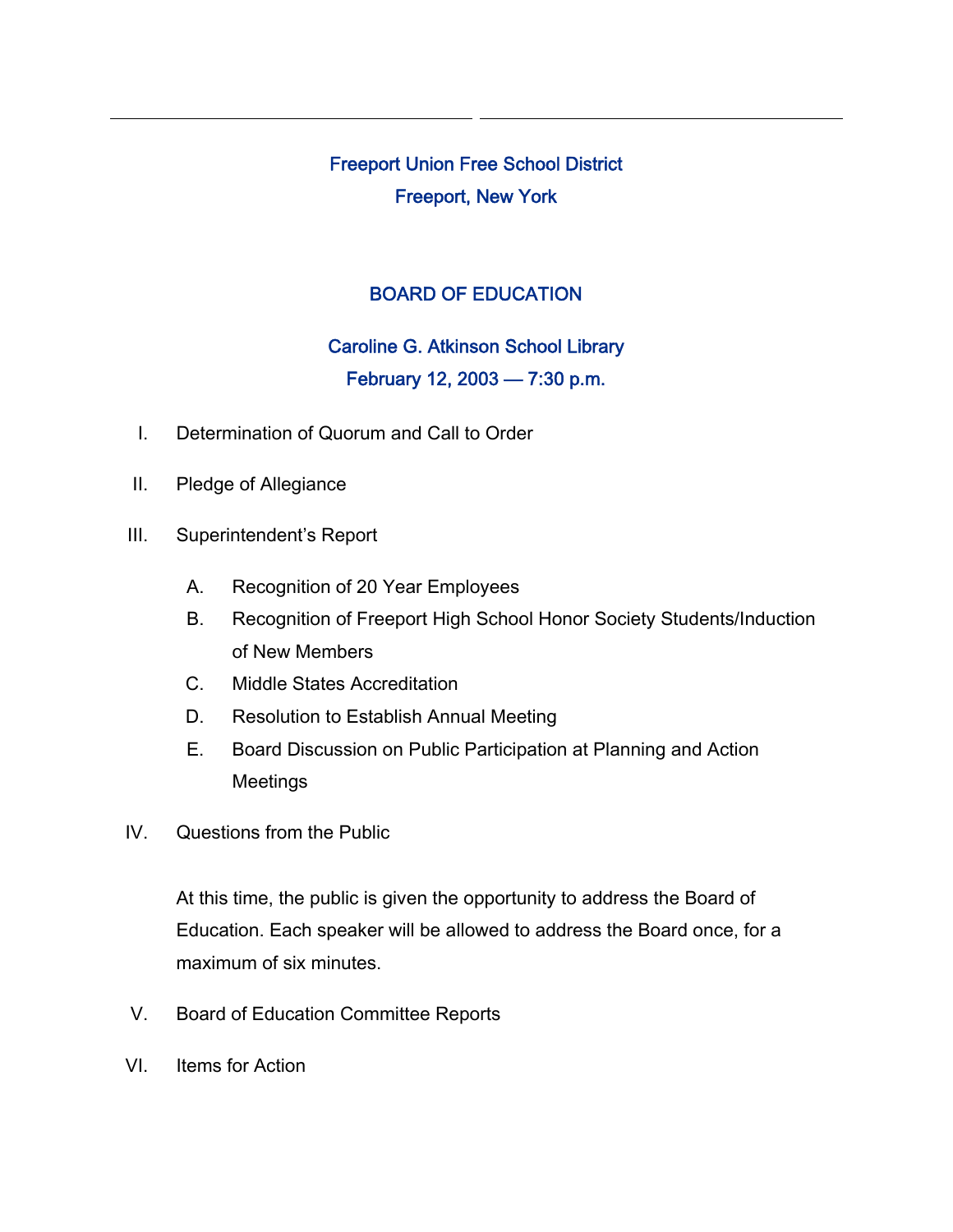Freeport Union Free School District Freeport, New York

## BOARD OF EDUCATION

# Caroline G. Atkinson School Library February 12, 2003 — 7:30 p.m.

- I. Determination of Quorum and Call to Order
- II. Pledge of Allegiance
- III. Superintendent's Report
	- A. Recognition of 20 Year Employees
	- B. Recognition of Freeport High School Honor Society Students/Induction of New Members
	- C. Middle States Accreditation
	- D. Resolution to Establish Annual Meeting
	- E. Board Discussion on Public Participation at Planning and Action Meetings
- IV. Questions from the Public

At this time, the public is given the opportunity to address the Board of Education. Each speaker will be allowed to address the Board once, for a maximum of six minutes.

- V. Board of Education Committee Reports
- VI. Items for Action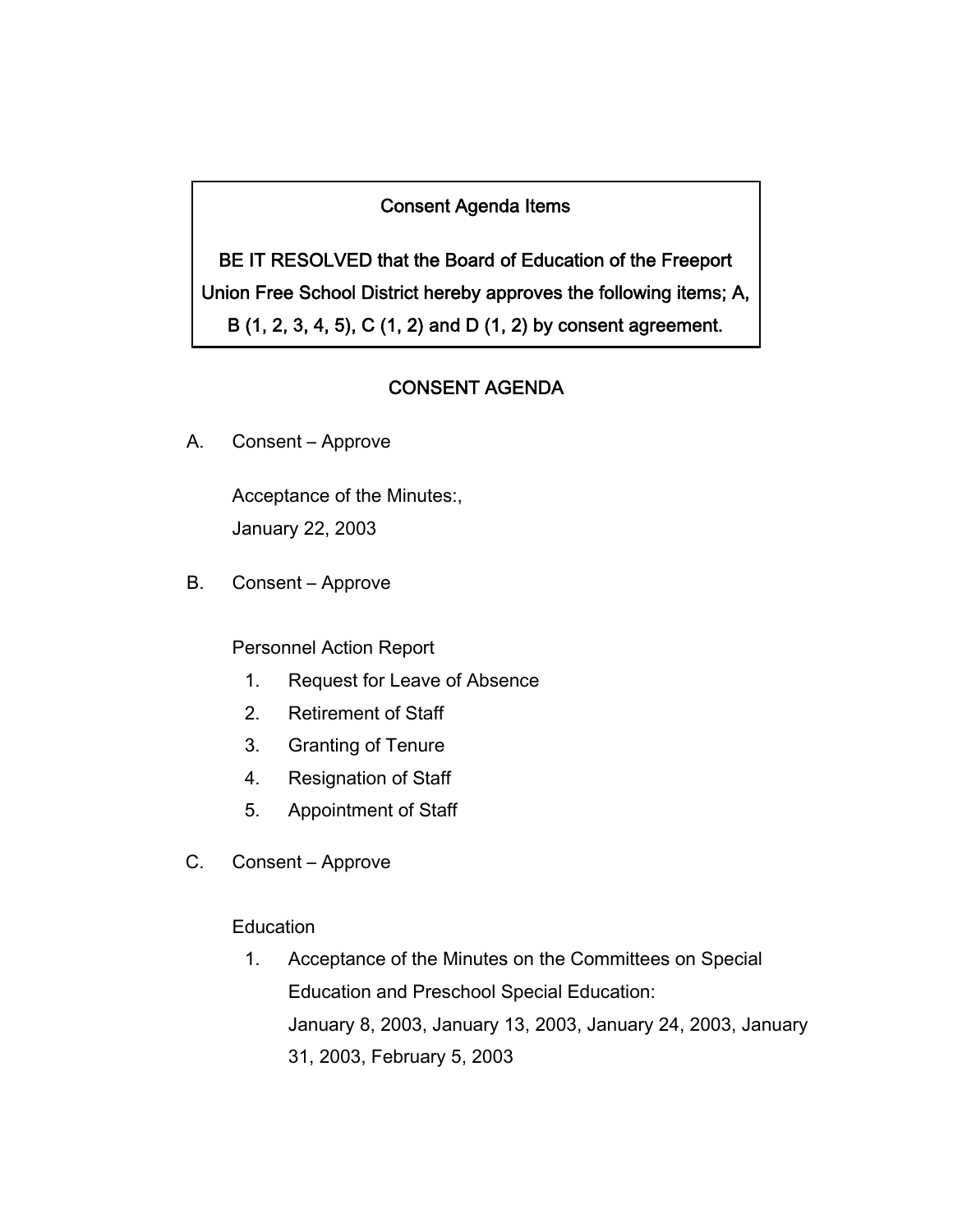## Consent Agenda Items

BE IT RESOLVED that the Board of Education of the Freeport Union Free School District hereby approves the following items; A, B (1, 2, 3, 4, 5), C (1, 2) and D (1, 2) by consent agreement.

## CONSENT AGENDA

A. Consent – Approve

Acceptance of the Minutes:, January 22, 2003

B. Consent – Approve

Personnel Action Report

- 1. Request for Leave of Absence
- 2. Retirement of Staff
- 3. Granting of Tenure
- 4. Resignation of Staff
- 5. Appointment of Staff
- C. Consent Approve

**Education** 

1. Acceptance of the Minutes on the Committees on Special Education and Preschool Special Education: January 8, 2003, January 13, 2003, January 24, 2003, January 31, 2003, February 5, 2003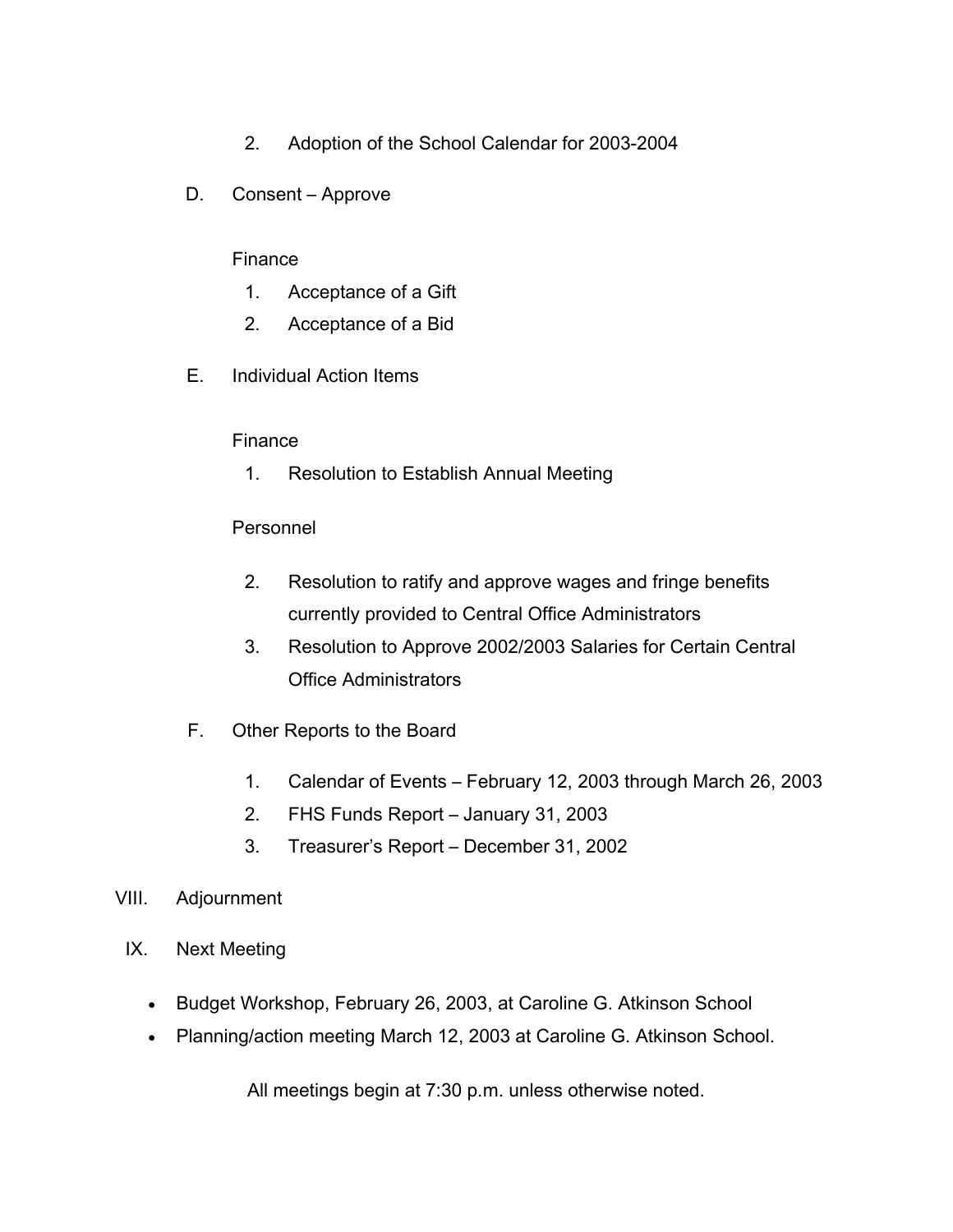- 2. Adoption of the School Calendar for 2003-2004
- D. Consent Approve

#### Finance

- 1. Acceptance of a Gift
- 2. Acceptance of a Bid
- E. Individual Action Items

#### Finance

1. Resolution to Establish Annual Meeting

#### Personnel

- 2. Resolution to ratify and approve wages and fringe benefits currently provided to Central Office Administrators
- 3. Resolution to Approve 2002/2003 Salaries for Certain Central Office Administrators
- F. Other Reports to the Board
	- 1. Calendar of Events February 12, 2003 through March 26, 2003
	- 2. FHS Funds Report January 31, 2003
	- 3. Treasurer's Report December 31, 2002
- VIII. Adjournment
	- IX. Next Meeting
		- Budget Workshop, February 26, 2003, at Caroline G. Atkinson School
		- Planning/action meeting March 12, 2003 at Caroline G. Atkinson School.

All meetings begin at 7:30 p.m. unless otherwise noted.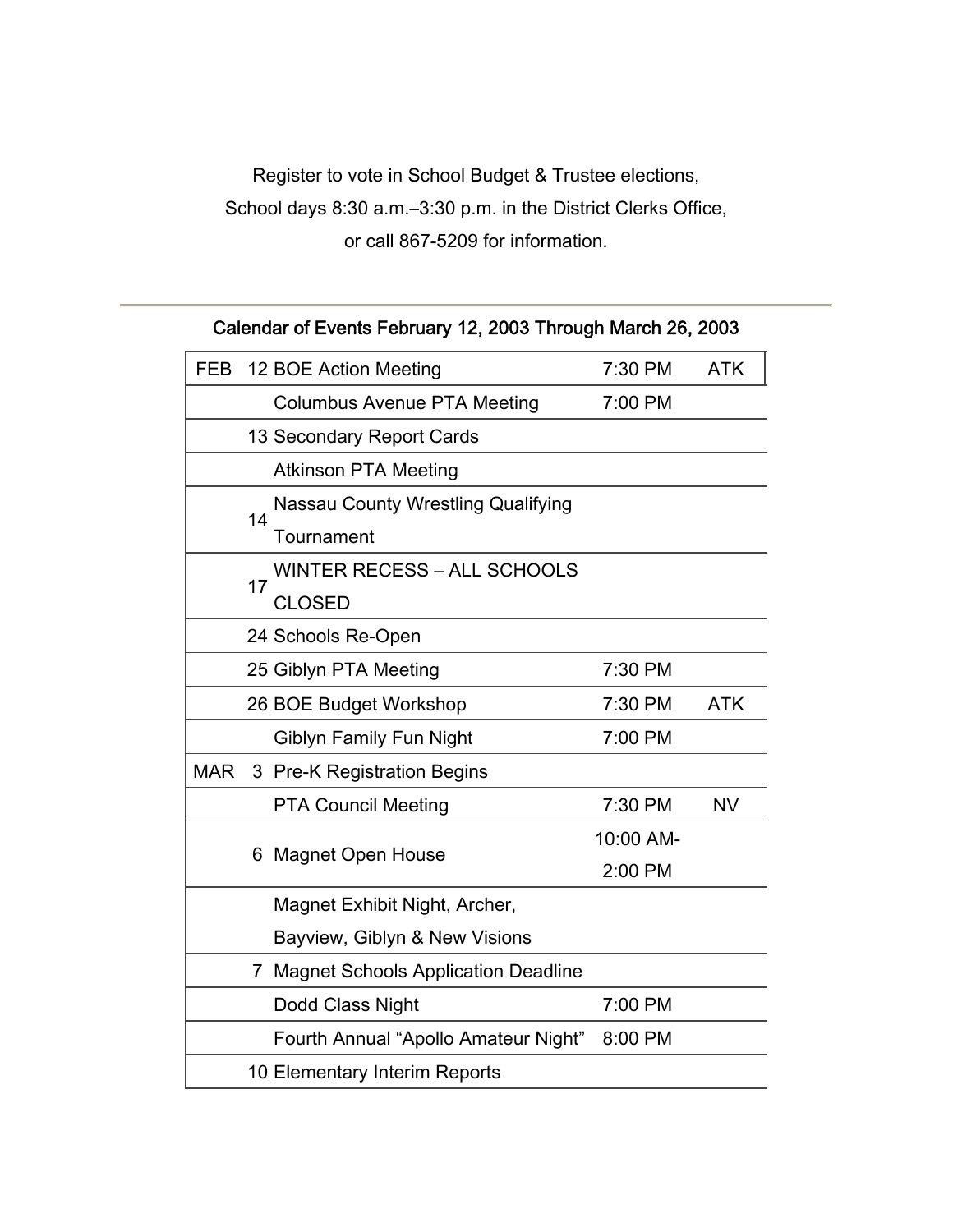Register to vote in School Budget & Trustee elections, School days 8:30 a.m.–3:30 p.m. in the District Clerks Office, or call 867-5209 for information.

| Calendar of Events February 12, 2003 Through March 26, 2003 |  |
|-------------------------------------------------------------|--|
|-------------------------------------------------------------|--|

| <b>FEB</b> |                  | 12 BOE Action Meeting                     | 7:30 PM   | <b>ATK</b> |
|------------|------------------|-------------------------------------------|-----------|------------|
|            |                  | <b>Columbus Avenue PTA Meeting</b>        | 7:00 PM   |            |
|            |                  | 13 Secondary Report Cards                 |           |            |
|            |                  | <b>Atkinson PTA Meeting</b>               |           |            |
|            | 14<br>Tournament | <b>Nassau County Wrestling Qualifying</b> |           |            |
|            |                  |                                           |           |            |
|            | 17               | <b>WINTER RECESS - ALL SCHOOLS</b>        |           |            |
|            |                  | <b>CLOSED</b>                             |           |            |
|            |                  | 24 Schools Re-Open                        |           |            |
|            |                  | 25 Giblyn PTA Meeting                     | 7:30 PM   |            |
|            |                  | 26 BOE Budget Workshop                    | 7:30 PM   | <b>ATK</b> |
|            |                  | Giblyn Family Fun Night                   | 7:00 PM   |            |
| <b>MAR</b> |                  | 3 Pre-K Registration Begins               |           |            |
|            |                  | <b>PTA Council Meeting</b>                | 7:30 PM   | <b>NV</b>  |
|            |                  | <b>Magnet Open House</b><br>6             | 10:00 AM- |            |
|            |                  |                                           | 2:00 PM   |            |
|            |                  | Magnet Exhibit Night, Archer,             |           |            |
|            |                  | Bayview, Giblyn & New Visions             |           |            |
|            |                  | 7 Magnet Schools Application Deadline     |           |            |
|            |                  | Dodd Class Night                          | 7:00 PM   |            |
|            |                  | Fourth Annual "Apollo Amateur Night"      | 8:00 PM   |            |
|            |                  | 10 Elementary Interim Reports             |           |            |